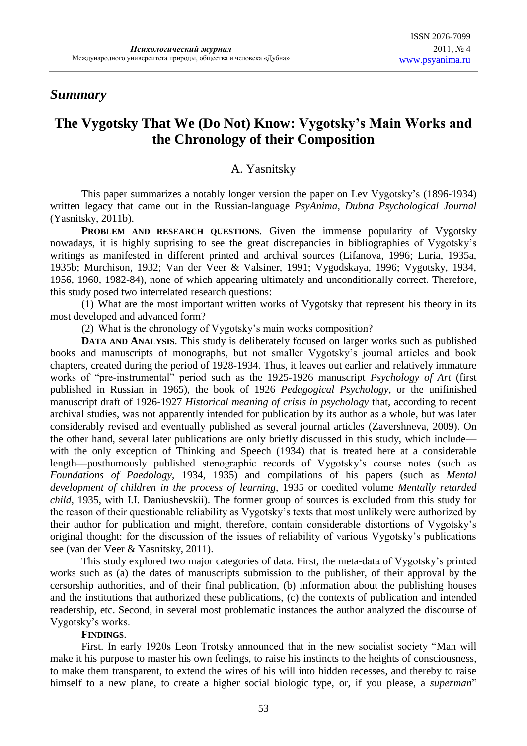# **The Vygotsky That We (Do Not) Know: Vygotsky's Main Works and the Chronology of their Composition**

# A. Yasnitsky

This paper summarizes a notably longer version the paper on Lev Vygotsky's (1896-1934) written legacy that came out in the Russian-language *PsyAnima, Dubna Psychological Journal* (Yasnitsky, 2011b).

**PROBLEM AND RESEARCH QUESTIONS**. Given the immense popularity of Vygotsky nowadays, it is highly suprising to see the great discrepancies in bibliographies of Vygotsky's writings as manifested in different printed and archival sources (Lifanova, 1996; Luria, 1935a, 1935b; Murchison, 1932; Van der Veer & Valsiner, 1991; Vygodskaya, 1996; Vygotsky, 1934, 1956, 1960, 1982-84), none of which appearing ultimately and unconditionally correct. Therefore, this study posed two interrelated research questions:

(1) What are the most important written works of Vygotsky that represent his theory in its most developed and advanced form?

(2) What is the chronology of Vygotsky's main works composition?

**DATA AND ANALYSIS**. This study is deliberately focused on larger works such as published books and manuscripts of monographs, but not smaller Vygotsky's journal articles and book chapters, created during the period of 1928-1934. Thus, it leaves out earlier and relatively immature works of "pre-instrumental" period such as the 1925-1926 manuscript *Psychology of Art* (first published in Russian in 1965), the book of 1926 *Pedagogical Psychology*, or the unifinished manuscript draft of 1926-1927 *Historical meaning of crisis in psychology* that, according to recent archival studies, was not apparently intended for publication by its author as a whole, but was later considerably revised and eventually published as several journal articles (Zavershneva, 2009). On the other hand, several later publications are only briefly discussed in this study, which include with the only exception of Thinking and Speech (1934) that is treated here at a considerable length—posthumously published stenographic records of Vygotsky's course notes (such as *Foundations of Paedology*, 1934, 1935) and compilations of his papers (such as *Mental development of children in the process of learning*, 1935 or coedited volume *Mentally retarded child*, 1935, with I.I. Daniushevskii). The former group of sources is excluded from this study for the reason of their questionable reliability as Vygotsky's texts that most unlikely were authorized by their author for publication and might, therefore, contain considerable distortions of Vygotsky's original thought: for the discussion of the issues of reliability of various Vygotsky's publications see (van der Veer & Yasnitsky, 2011).

This study explored two major categories of data. First, the meta-data of Vygotsky's printed works such as (a) the dates of manuscripts submission to the publisher, of their approval by the cersorship authorities, and of their final publication, (b) information about the publishing houses and the institutions that authorized these publications, (c) the contexts of publication and intended readership, etc. Second, in several most problematic instances the author analyzed the discourse of Vygotsky's works.

# **FINDINGS**.

First. In early 1920s Leon Trotsky announced that in the new socialist society "Man will make it his purpose to master his own feelings, to raise his instincts to the heights of consciousness, to make them transparent, to extend the wires of his will into hidden recesses, and thereby to raise himself to a new plane, to create a higher social biologic type, or, if you please, a *superman*"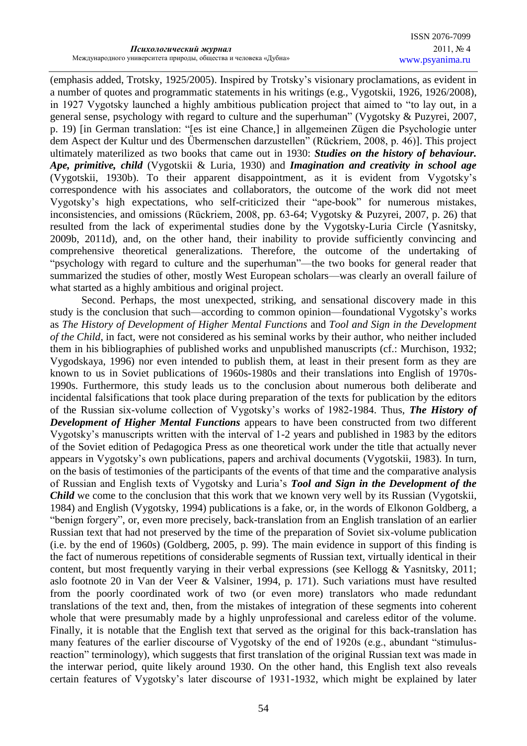(emphasis added, Trotsky, 1925/2005). Inspired by Trotsky's visionary proclamations, as evident in a number of quotes and programmatic statements in his writings (e.g., Vygotskii, 1926, 1926/2008), in 1927 Vygotsky launched a highly ambitious publication project that aimed to "to lay out, in a general sense, psychology with regard to culture and the superhuman" (Vygotsky & Puzyrei, 2007, p. 19) [in German translation: "[es ist eine Chance,] in allgemeinen Zügen die Psychologie unter dem Aspect der Kultur und des Übermenschen darzustellen" (Rückriem, 2008, p. 46)]. This project ultimately materilized as two books that came out in 1930: *Studies on the history of behaviour. Ape, primitive, child* (Vygotskii & Luria, 1930) and *Imagination and creativity in school age* (Vygotskii, 1930b). To their apparent disappointment, as it is evident from Vygotsky's correspondence with his associates and collaborators, the outcome of the work did not meet Vygotsky's high expectations, who self-criticized their "ape-book" for numerous mistakes, inconsistencies, and omissions (Rückriem, 2008, pp. 63-64; Vygotsky & Puzyrei, 2007, p. 26) that resulted from the lack of experimental studies done by the Vygotsky-Luria Circle (Yasnitsky, 2009b, 2011d), and, on the other hand, their inability to provide sufficiently convincing and comprehensive theoretical generalizations. Therefore, the outcome of the undertaking of "psychology with regard to culture and the superhuman"—the two books for general reader that summarized the studies of other, mostly West European scholars—was clearly an overall failure of what started as a highly ambitious and original project.

Second. Perhaps, the most unexpected, striking, and sensational discovery made in this study is the conclusion that such—according to common opinion—foundational Vygotsky's works as *The History of Development of Higher Mental Functions* and *Tool and Sign in the Development of the Child*, in fact, were not considered as his seminal works by their author, who neither included them in his bibliographies of published works and unpublished manuscripts (cf.: Murchison, 1932; Vygodskaya, 1996) nor even intended to publish them, at least in their present form as they are known to us in Soviet publications of 1960s-1980s and their translations into English of 1970s-1990s. Furthermore, this study leads us to the conclusion about numerous both deliberate and incidental falsifications that took place during preparation of the texts for publication by the editors of the Russian six-volume collection of Vygotsky's works of 1982-1984. Thus, *The History of Development of Higher Mental Functions* appears to have been constructed from two different Vygotsky's manuscripts written with the interval of 1-2 years and published in 1983 by the editors of the Soviet edition of Pedagogica Press as one theoretical work under the title that actually never appears in Vygotsky's own publications, papers and archival documents (Vygotskii, 1983). In turn, on the basis of testimonies of the participants of the events of that time and the comparative analysis of Russian and English texts of Vygotsky and Luria's *Tool and Sign in the Development of the Child* we come to the conclusion that this work that we known very well by its Russian (Vygotskii, 1984) and English (Vygotsky, 1994) publications is a fake, or, in the words of Elkonon Goldberg, a "benign forgery", or, even more precisely, back-translation from an English translation of an earlier Russian text that had not preserved by the time of the preparation of Soviet six-volume publication (i.e. by the end of 1960s) (Goldberg, 2005, p. 99). The main evidence in support of this finding is the fact of numerous repetitions of considerable segments of Russian text, virtually identical in their content, but most frequently varying in their verbal expressions (see Kellogg & Yasnitsky, 2011; aslo footnote 20 in Van der Veer & Valsiner, 1994, p. 171). Such variations must have resulted from the poorly coordinated work of two (or even more) translators who made redundant translations of the text and, then, from the mistakes of integration of these segments into coherent whole that were presumably made by a highly unprofessional and careless editor of the volume. Finally, it is notable that the English text that served as the original for this back-translation has many features of the earlier discourse of Vygotsky of the end of 1920s (e.g., abundant "stimulusreaction" terminology), which suggests that first translation of the original Russian text was made in the interwar period, quite likely around 1930. On the other hand, this English text also reveals certain features of Vygotsky's later discourse of 1931-1932, which might be explained by later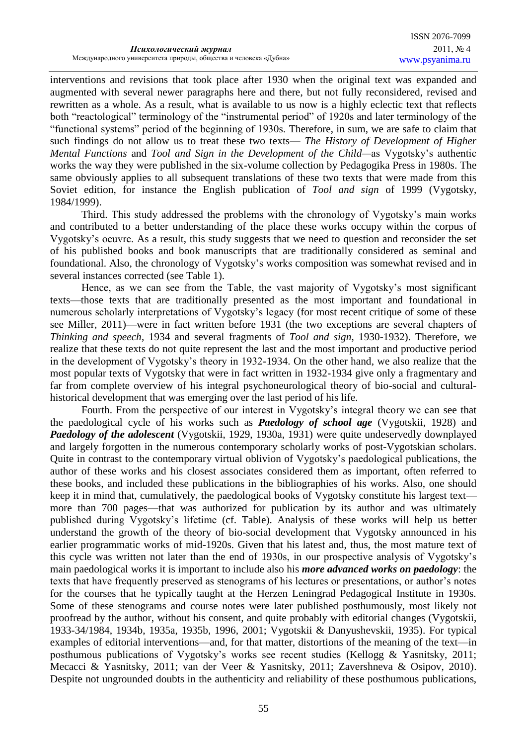interventions and revisions that took place after 1930 when the original text was expanded and augmented with several newer paragraphs here and there, but not fully reconsidered, revised and rewritten as a whole. As a result, what is available to us now is a highly eclectic text that reflects both "reactological" terminology of the "instrumental period" of 1920s and later terminology of the ―functional systems‖ period of the beginning of 1930s. Therefore, in sum, we are safe to claim that such findings do not allow us to treat these two texts— *The History of Development of Higher Mental Functions* and *Tool and Sign in the Development of the Child—*as Vygotsky's authentic works the way they were published in the six-volume collection by Pedagogika Press in 1980s. The same obviously applies to all subsequent translations of these two texts that were made from this Soviet edition, for instance the English publication of *Tool and sign* of 1999 (Vygotsky, 1984/1999).

Third. This study addressed the problems with the chronology of Vygotsky's main works and contributed to a better understanding of the place these works occupy within the corpus of Vygotsky's oeuvre. As a result, this study suggests that we need to question and reconsider the set of his published books and book manuscripts that are traditionally considered as seminal and foundational. Also, the chronology of Vygotsky's works composition was somewhat revised and in several instances corrected (see Table 1).

Hence, as we can see from the Table, the vast majority of Vygotsky's most significant texts—those texts that are traditionally presented as the most important and foundational in numerous scholarly interpretations of Vygotsky's legacy (for most recent critique of some of these see Miller, 2011)—were in fact written before 1931 (the two exceptions are several chapters of *Thinking and speech*, 1934 and several fragments of *Tool and sign*, 1930-1932). Therefore, we realize that these texts do not quite represent the last and the most important and productive period in the development of Vygotsky's theory in 1932-1934. On the other hand, we also realize that the most popular texts of Vygotsky that were in fact written in 1932-1934 give only a fragmentary and far from complete overview of his integral psychoneurological theory of bio-social and culturalhistorical development that was emerging over the last period of his life.

Fourth. From the perspective of our interest in Vygotsky's integral theory we can see that the paedological cycle of his works such as *Paedology of school age* (Vygotskii, 1928) and *Paedology of the adolescent* (Vygotskii, 1929, 1930a, 1931) were quite undeservedly downplayed and largely forgotten in the numerous contemporary scholarly works of post-Vygotskian scholars. Quite in contrast to the contemporary virtual oblivion of Vygotsky's paedological publications, the author of these works and his closest associates considered them as important, often referred to these books, and included these publications in the bibliographies of his works. Also, one should keep it in mind that, cumulatively, the paedological books of Vygotsky constitute his largest text more than 700 pages—that was authorized for publication by its author and was ultimately published during Vygotsky's lifetime (cf. Table). Analysis of these works will help us better understand the growth of the theory of bio-social development that Vygotsky announced in his earlier programmatic works of mid-1920s. Given that his latest and, thus, the most mature text of this cycle was written not later than the end of 1930s, in our prospective analysis of Vygotsky's main paedological works it is important to include also his *more advanced works on paedology*: the texts that have frequently preserved as stenograms of his lectures or presentations, or author's notes for the courses that he typically taught at the Herzen Leningrad Pedagogical Institute in 1930s. Some of these stenograms and course notes were later published posthumously, most likely not proofread by the author, without his consent, and quite probably with editorial changes (Vygotskii, 1933-34/1984, 1934b, 1935a, 1935b, 1996, 2001; Vygotskii & Danyushevskii, 1935). For typical examples of editorial interventions—and, for that matter, distortions of the meaning of the text—in posthumous publications of Vygotsky's works see recent studies (Kellogg & Yasnitsky, 2011; Mecacci & Yasnitsky, 2011; van der Veer & Yasnitsky, 2011; Zavershneva & Osipov, 2010). Despite not ungrounded doubts in the authenticity and reliability of these posthumous publications,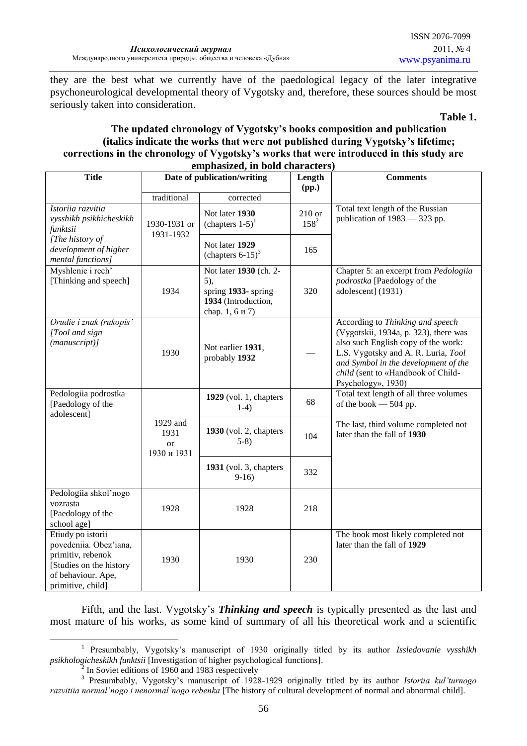they are the best what we currently have of the paedological legacy of the later integrative psychoneurological developmental theory of Vygotsky and, therefore, these sources should be most seriously taken into consideration.

#### **Table 1.**

### **The updated chronology of Vygotsky's books composition and publication (italics indicate the works that were not published during Vygotsky's lifetime; corrections in the chronology of Vygotsky's works that were introduced in this study are emphasized, in bold characters)**

| <b>Title</b>                                                                                                                           | emphasized, in bold characters)<br>Date of publication/writing |                                                                                               | Length                | <b>Comments</b>                                                                                                                                                                                                                                             |
|----------------------------------------------------------------------------------------------------------------------------------------|----------------------------------------------------------------|-----------------------------------------------------------------------------------------------|-----------------------|-------------------------------------------------------------------------------------------------------------------------------------------------------------------------------------------------------------------------------------------------------------|
|                                                                                                                                        |                                                                |                                                                                               | (pp.)                 |                                                                                                                                                                                                                                                             |
| Istoriia razvitia<br>vysshikh psikhicheskikh<br>funktsii                                                                               | traditional<br>1930-1931 or<br>1931-1932                       | corrected<br>Not later 1930<br>(chapters $1-5$ ) <sup>1</sup>                                 | $210$ or<br>$158^{2}$ | Total text length of the Russian<br>publication of $1983 - 323$ pp.                                                                                                                                                                                         |
| [The history of<br>development of higher<br>mental functions]                                                                          |                                                                | Not later 1929<br>(chapters $6-15$ ) <sup>3</sup>                                             | 165                   |                                                                                                                                                                                                                                                             |
| Myshlenie i rech'<br>[Thinking and speech]                                                                                             | 1934                                                           | Not later 1930 (ch. 2-<br>5),<br>spring 1933-spring<br>1934 (Introduction,<br>chap. 1, 6 и 7) | 320                   | Chapter 5: an excerpt from Pedologiia<br>podrostka [Paedology of the<br>adolescent] (1931)                                                                                                                                                                  |
| Orudie i znak (rukopis'<br>[Tool and sign<br>$(manuscript)$ ]                                                                          | 1930                                                           | Not earlier 1931,<br>probably 1932                                                            |                       | According to Thinking and speech<br>(Vygotskii, 1934a, p. 323), there was<br>also such English copy of the work:<br>L.S. Vygotsky and A. R. Luria, Tool<br>and Symbol in the development of the<br>child (sent to «Handbook of Child-<br>Psychology», 1930) |
| Pedologiia podrostka<br>[Paedology of the<br>adolescent]                                                                               |                                                                | $1929$ (vol. 1, chapters<br>$1-4)$                                                            | 68                    | Total text length of all three volumes<br>of the book $-504$ pp.                                                                                                                                                                                            |
|                                                                                                                                        | 1929 and<br>1931<br><sub>or</sub><br>1930 и 1931               | $1930$ (vol. 2, chapters<br>$5-8$                                                             | 104                   | The last, third volume completed not<br>later than the fall of 1930                                                                                                                                                                                         |
|                                                                                                                                        |                                                                | 1931 (vol. 3, chapters<br>$9-16$                                                              | 332                   |                                                                                                                                                                                                                                                             |
| Pedologiia shkol'nogo<br>vozrasta<br>[Paedology of the<br>school age]                                                                  | 1928                                                           | 1928                                                                                          | 218                   |                                                                                                                                                                                                                                                             |
| Etiudy po istorii<br>povedeniia. Obez'iana,<br>primitiv, rebenok<br>[Studies on the history<br>of behaviour. Ape,<br>primitive, child] | 1930                                                           | 1930                                                                                          | 230                   | The book most likely completed not<br>later than the fall of 1929                                                                                                                                                                                           |

Fifth, and the last. Vygotsky's *Thinking and speech* is typically presented as the last and most mature of his works, as some kind of summary of all his theoretical work and a scientific

<sup>1</sup> 1 Presumbably, Vygotsky's manuscript of 1930 originally titled by its author *Issledovanie vysshikh psikhologicheskikh funktsii* [Investigation of higher psychological functions].

 $\overline{2}$ In Soviet editions of 1960 and 1983 respectively

<sup>3</sup> Presumbably, Vygotsky's manuscript of 1928-1929 originally titled by its author *Istoriia kul'turnogo razvitiia normal'nogo i nenormal'nogo rebenka* [The history of cultural development of normal and abnormal child].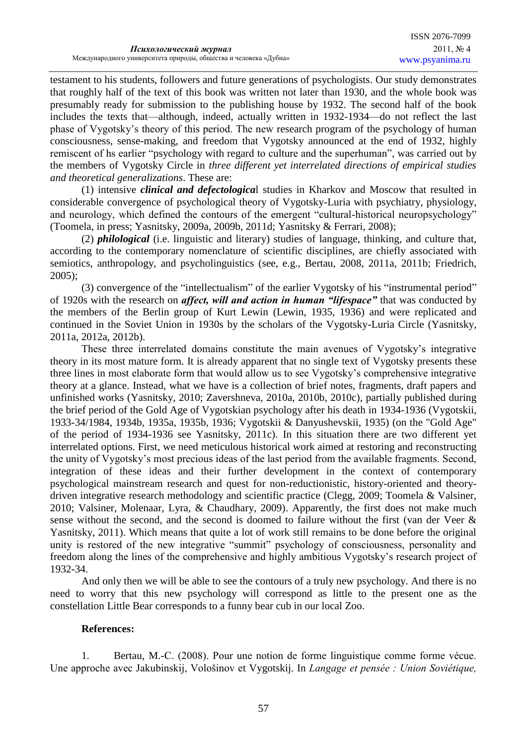testament to his students, followers and future generations of psychologists. Our study demonstrates that roughly half of the text of this book was written not later than 1930, and the whole book was presumably ready for submission to the publishing house by 1932. The second half of the book includes the texts that—although, indeed, actually written in 1932-1934—do not reflect the last phase of Vygotsky's theory of this period. The new research program of the psychology of human consciousness, sense-making, and freedom that Vygotsky announced at the end of 1932, highly remiscent of hs earlier "psychology with regard to culture and the superhuman", was carried out by the members of Vygotsky Circle in *three different yet interrelated directions of empirical studies and theoretical generalizations*. These are:

(1) intensive *clinical and defectologica*l studies in Kharkov and Moscow that resulted in considerable convergence of psychological theory of Vygotsky-Luria with psychiatry, physiology, and neurology, which defined the contours of the emergent "cultural-historical neuropsychology" (Toomela, in press; Yasnitsky, 2009a, 2009b, 2011d; Yasnitsky & Ferrari, 2008);

(2) *philological* (i.e. linguistic and literary) studies of language, thinking, and culture that, according to the contemporary nomenclature of scientific disciplines, are chiefly associated with semiotics, anthropology, and psycholinguistics (see, e.g., Bertau, 2008, 2011a, 2011b; Friedrich, 2005);

(3) convergence of the "intellectualism" of the earlier Vygotsky of his "instrumental period" of 1920s with the research on *affect, will and action in human "lifespace"* that was conducted by the members of the Berlin group of Kurt Lewin (Lewin, 1935, 1936) and were replicated and continued in the Soviet Union in 1930s by the scholars of the Vygotsky-Luria Circle (Yasnitsky, 2011a, 2012a, 2012b).

These three interrelated domains constitute the main avenues of Vygotsky's integrative theory in its most mature form. It is already apparent that no single text of Vygotsky presents these three lines in most elaborate form that would allow us to see Vygotsky's comprehensive integrative theory at a glance. Instead, what we have is a collection of brief notes, fragments, draft papers and unfinished works (Yasnitsky, 2010; Zavershneva, 2010a, 2010b, 2010c), partially published during the brief period of the Gold Age of Vygotskian psychology after his death in 1934-1936 (Vygotskii, 1933-34/1984, 1934b, 1935a, 1935b, 1936; Vygotskii & Danyushevskii, 1935) (on the "Gold Age" of the period of 1934-1936 see Yasnitsky, 2011c). In this situation there are two different yet interrelated options. First, we need meticulous historical work aimed at restoring and reconstructing the unity of Vygotsky's most precious ideas of the last period from the available fragments. Second, integration of these ideas and their further development in the context of contemporary psychological mainstream research and quest for non-reductionistic, history-oriented and theorydriven integrative research methodology and scientific practice (Clegg, 2009; Toomela & Valsiner, 2010; Valsiner, Molenaar, Lyra, & Chaudhary, 2009). Apparently, the first does not make much sense without the second, and the second is doomed to failure without the first (van der Veer & Yasnitsky, 2011). Which means that quite a lot of work still remains to be done before the original unity is restored of the new integrative "summit" psychology of consciousness, personality and freedom along the lines of the comprehensive and highly ambitious Vygotsky's research project of 1932-34.

And only then we will be able to see the contours of a truly new psychology. And there is no need to worry that this new psychology will correspond as little to the present one as the constellation Little Bear corresponds to a funny bear cub in our local Zoo.

# **References:**

1. Bertau, M.-C. (2008). Pour une notion de forme linguistique comme forme vécue. Une approche avec Jakubinskij, Vološinov et Vygotskij. In *Langage et pensée : Union Soviétique,*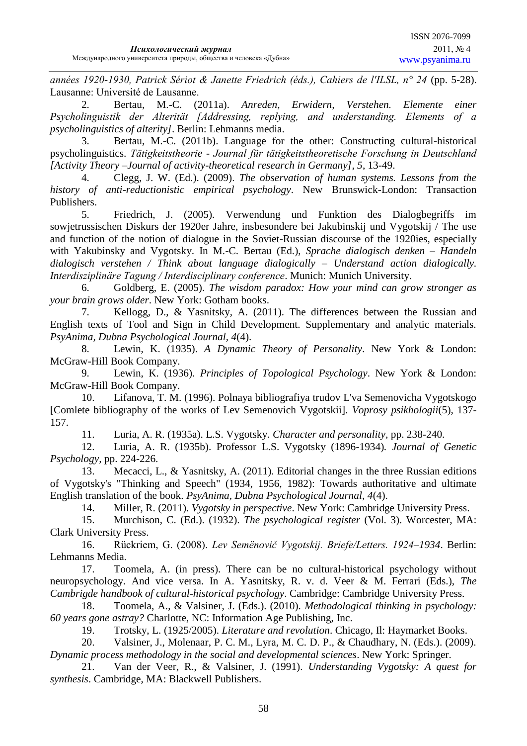*années 1920-1930, Patrick Sériot & Janette Friedrich (éds.), Cahiers de l'ILSL, n° 24* (pp. 5-28). Lausanne: Université de Lausanne.

2. Bertau, M.-C. (2011a). *Anreden, Erwidern, Verstehen. Elemente einer Psycholinguistik der Alterität [Addressing, replying, and understanding. Elements of a psycholinguistics of alterity]*. Berlin: Lehmanns media.

3. Bertau, M.-C. (2011b). Language for the other: Constructing cultural-historical psycholinguistics. *Tätigkeitstheorie - Journal für tätigkeitstheoretische Forschung in Deutschland [Activity Theory –Journal of activity-theoretical research in Germany], 5*, 13-49.

4. Clegg, J. W. (Ed.). (2009). *The observation of human systems. Lessons from the history of anti-reductionistic empirical psychology*. New Brunswick-London: Transaction Publishers.

5. Friedrich, J. (2005). Verwendung und Funktion des Dialogbegriffs im sowjetrussischen Diskurs der 1920er Jahre, insbesondere bei Jakubinskij und Vygotskij / The use and function of the notion of dialogue in the Soviet-Russian discourse of the 1920ies, especially with Yakubinsky and Vygotsky. In M.-C. Bertau (Ed.), *Sprache dialogisch denken – Handeln dialogisch verstehen / Think about language dialogically – Understand action dialogically. Interdisziplinäre Tagung / Interdisciplinary conference*. Munich: Munich University.

6. Goldberg, E. (2005). *The wisdom paradox: How your mind can grow stronger as your brain grows older*. New York: Gotham books.

7. Kellogg, D., & Yasnitsky, A. (2011). The differences between the Russian and English texts of Tool and Sign in Child Development. Supplementary and analytic materials. *PsyAnima, Dubna Psychological Journal, 4*(4).

8. Lewin, K. (1935). *A Dynamic Theory of Personality*. New York & London: McGraw-Hill Book Company.

9. Lewin, K. (1936). *Principles of Topological Psychology*. New York & London: McGraw-Hill Book Company.

10. Lifanova, T. M. (1996). Polnaya bibliografiya trudov L'va Semenovicha Vygotskogo [Comlete bibliography of the works of Lev Semenovich Vygotskii]. *Voprosy psikhologii*(5), 137- 157.

11. Luria, A. R. (1935a). L.S. Vygotsky*. Character and personality,* pp. 238-240.

12. Luria, A. R. (1935b). Professor L.S. Vygotsky (1896-1934)*. Journal of Genetic Psychology,* pp. 224-226.

13. Mecacci, L., & Yasnitsky, A. (2011). Editorial changes in the three Russian editions of Vygotsky's "Thinking and Speech" (1934, 1956, 1982): Towards authoritative and ultimate English translation of the book. *PsyAnima, Dubna Psychological Journal, 4*(4).

14. Miller, R. (2011). *Vygotsky in perspective*. New York: Cambridge University Press.

15. Murchison, C. (Ed.). (1932). *The psychological register* (Vol. 3). Worcester, MA: Clark University Press.

16. Rückriem, G. (2008). *Lev Semënovič Vygotskij. Briefe/Letters. 1924–1934*. Berlin: Lehmanns Media.

17. Toomela, A. (in press). There can be no cultural-historical psychology without neuropsychology. And vice versa. In A. Yasnitsky, R. v. d. Veer & M. Ferrari (Eds.), *The Cambrigde handbook of cultural-historical psychology*. Cambridge: Cambridge University Press.

18. Toomela, A., & Valsiner, J. (Eds.). (2010). *Methodological thinking in psychology: 60 years gone astray?* Charlotte, NC: Information Age Publishing, Inc.

19. Trotsky, L. (1925/2005). *Literature and revolution*. Chicago, Il: Haymarket Books.

20. Valsiner, J., Molenaar, P. C. M., Lyra, M. C. D. P., & Chaudhary, N. (Eds.). (2009). *Dynamic process methodology in the social and developmental sciences*. New York: Springer.

21. Van der Veer, R., & Valsiner, J. (1991). *Understanding Vygotsky: A quest for synthesis*. Cambridge, MA: Blackwell Publishers.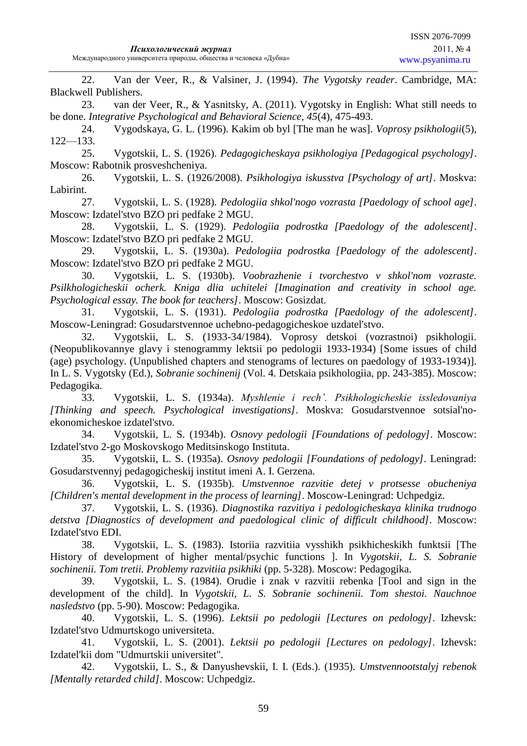22. Van der Veer, R., & Valsiner, J. (1994). *The Vygotsky reader*. Cambridge, MA: Blackwell Publishers.

23. van der Veer, R., & Yasnitsky, A. (2011). Vygotsky in English: What still needs to be done. *Integrative Psychological and Behavioral Science, 45*(4), 475-493.

24. Vygodskaya, G. L. (1996). Kakim ob byl [The man he was]. *Voprosy psikhologii*(5), 122—133.

25. Vygotskii, L. S. (1926). *Pedagogicheskaya psikhologiya [Pedagogical psychology]*. Moscow: Rabotnik prosveshcheniya.

26. Vygotskii, L. S. (1926/2008). *Psikhologiya iskusstva [Psychology of art]*. Moskva: Labirint.

27. Vygotskii, L. S. (1928). *Pedologiia shkol'nogo vozrasta [Paedology of school age]*. Moscow: Izdatel'stvo BZO pri pedfake 2 MGU.

28. Vygotskii, L. S. (1929). *Pedologiia podrostka [Paedology of the adolescent]*. Moscow: Izdatel'stvo BZO pri pedfake 2 MGU.

29. Vygotskii, L. S. (1930a). *Pedologiia podrostka [Paedology of the adolescent]*. Moscow: Izdatel'stvo BZO pri pedfake 2 MGU.

30. Vygotskii, L. S. (1930b). *Voobrazhenie i tvorchestvo v shkol'nom vozraste. Psilkhologicheskii ocherk. Kniga dlia uchitelei [Imagination and creativity in school age. Psychological essay. The book for teachers]*. Moscow: Gosizdat.

31. Vygotskii, L. S. (1931). *Pedologiia podrostka [Paedology of the adolescent]*. Moscow-Leningrad: Gosudarstvennoe uchebno-pedagogicheskoe uzdatel'stvo.

32. Vygotskii, L. S. (1933-34/1984). Voprosy detskoi (vozrastnoi) psikhologii. (Neopublikovannye glavy i stenogrammy lektsii po pedologii 1933-1934) [Some issues of child (age) psychology. (Unpublished chapters and stenograms of lectures on paedology of 1933-1934)]. In L. S. Vygotsky (Ed.), *Sobranie sochinenij* (Vol. 4. Detskaia psikhologiia, pp. 243-385). Moscow: Pedagogika.

33. Vygotskii, L. S. (1934a). *Myshlenie i rech'. Psikhologicheskie issledovaniya [Thinking and speech. Psychological investigations]*. Moskva: Gosudarstvennoe sotsial'noekonomicheskoe izdatel'stvo.

34. Vygotskii, L. S. (1934b). *Osnovy pedologii [Foundations of pedology]*. Moscow: Izdatel'stvo 2-go Moskovskogo Meditsinskogo Instituta.

35. Vygotskii, L. S. (1935a). *Osnovy pedologii [Foundations of pedology]*. Leningrad: Gosudarstvennyj pedagogicheskij institut imeni A. I. Gerzena.

36. Vygotskii, L. S. (1935b). *Umstvennoe razvitie detej v protsesse obucheniya [Children's mental development in the process of learning]*. Moscow-Leningrad: Uchpedgiz.

37. Vygotskii, L. S. (1936). *Diagnostika razvitiya i pedologicheskaya klinika trudnogo detstva [Diagnostics of development and paedological clinic of difficult childhood]*. Moscow: Izdatel'stvo EDI.

38. Vygotskii, L. S. (1983). Istoriia razvitiia vysshikh psikhicheskikh funktsii [The History of development of higher mental/psychic functions ]. In *Vygotskii, L. S. Sobranie sochinenii. Tom tretii. Problemy razvitiia psikhiki* (pp. 5-328). Moscow: Pedagogika.

39. Vygotskii, L. S. (1984). Orudie i znak v razvitii rebenka [Tool and sign in the development of the child]. In *Vygotskii, L. S. Sobranie sochinenii. Tom shestoi. Nauchnoe nasledstvo* (pp. 5-90). Moscow: Pedagogika.

40. Vygotskii, L. S. (1996). *Lektsii po pedologii [Lectures on pedology]*. Izhevsk: Izdatel'stvo Udmurtskogo universiteta.

41. Vygotskii, L. S. (2001). *Lektsii po pedologii [Lectures on pedology]*. Izhevsk: Izdatel'kii dom "Udmurtskii universitet".

42. Vygotskii, L. S., & Danyushevskii, I. I. (Eds.). (1935). *Umstvennootstalyj rebenok [Mentally retarded child]*. Moscow: Uchpedgiz.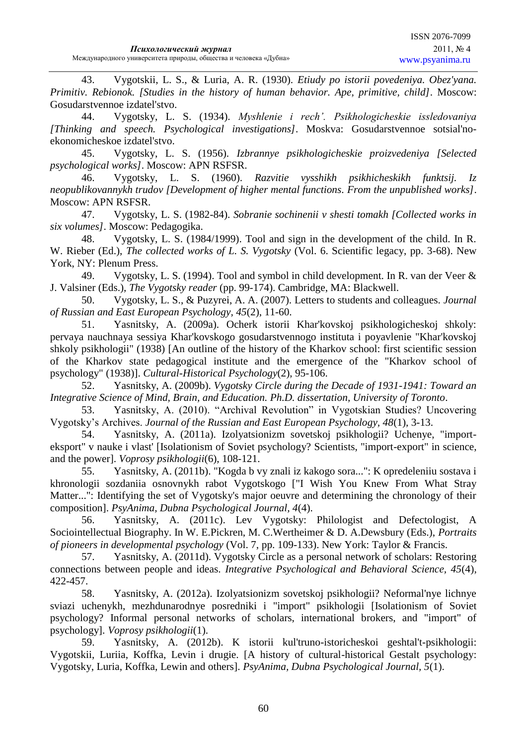43. Vygotskii, L. S., & Luria, A. R. (1930). *Etiudy po istorii povedeniya. Obez'yana. Primitiv. Rebionok. [Studies in the history of human behavior. Ape, primitive, child]*. Moscow: Gosudarstvennoe izdatel'stvo.

44. Vygotsky, L. S. (1934). *Myshlenie i rech'. Psikhologicheskie issledovaniya [Thinking and speech. Psychological investigations]*. Moskva: Gosudarstvennoe sotsial'noekonomicheskoe izdatel'stvo.

45. Vygotsky, L. S. (1956). *Izbrannye psikhologicheskie proizvedeniya [Selected psychological works]*. Moscow: APN RSFSR.

46. Vygotsky, L. S. (1960). *Razvitie vysshikh psikhicheskikh funktsij. Iz neopublikovannykh trudov [Development of higher mental functions. From the unpublished works]*. Moscow: APN RSFSR.

47. Vygotsky, L. S. (1982-84). *Sobranie sochinenii v shesti tomakh [Collected works in six volumes]*. Moscow: Pedagogika.

48. Vygotsky, L. S. (1984/1999). Tool and sign in the development of the child. In R. W. Rieber (Ed.), *The collected works of L. S. Vygotsky* (Vol. 6. Scientific legacy, pp. 3-68). New York, NY: Plenum Press.

49. Vygotsky, L. S. (1994). Tool and symbol in child development. In R. van der Veer & J. Valsiner (Eds.), *The Vygotsky reader* (pp. 99-174). Cambridge, MA: Blackwell.

50. Vygotsky, L. S., & Puzyrei, A. A. (2007). Letters to students and colleagues. *Journal of Russian and East European Psychology, 45*(2), 11-60.

51. Yasnitsky, A. (2009a). Ocherk istorii Khar'kovskoj psikhologicheskoj shkoly: pervaya nauchnaya sessiya Khar'kovskogo gosudarstvennogo instituta i poyavlenie "Khar'kovskoj shkoly psikhologii" (1938) [An outline of the history of the Kharkov school: first scientific session of the Kharkov state pedagogical institute and the emergence of the "Kharkov school of psychology" (1938)]. *Cultural-Historical Psychology*(2), 95-106.

52. Yasnitsky, A. (2009b). *Vygotsky Circle during the Decade of 1931-1941: Toward an Integrative Science of Mind, Brain, and Education. Ph.D. dissertation, University of Toronto*.

53. Yasnitsky, A. (2010). "Archival Revolution" in Vygotskian Studies? Uncovering Vygotsky's Archives. *Journal of the Russian and East European Psychology, 48*(1), 3-13.

54. Yasnitsky, A. (2011a). Izolyatsionizm sovetskoj psikhologii? Uchenye, "importeksport" v nauke i vlast' [Isolationism of Soviet psychology? Scientists, "import-export" in science, and the power]. *Voprosy psikhologii*(6), 108-121.

55. Yasnitsky, A. (2011b). "Kogda b vy znali iz kakogo sora...": K opredeleniiu sostava i khronologii sozdaniia osnovnykh rabot Vygotskogo ["I Wish You Knew From What Stray Matter...": Identifying the set of Vygotsky's major oeuvre and determining the chronology of their composition]. *PsyAnima, Dubna Psychological Journal, 4*(4).

56. Yasnitsky, A. (2011c). Lev Vygotsky: Philologist and Defectologist, A Sociointellectual Biography. In W. E.Pickren, M. C.Wertheimer & D. A.Dewsbury (Eds.), *Portraits of pioneers in developmental psychology* (Vol. 7, pp. 109-133). New York: Taylor & Francis.

57. Yasnitsky, A. (2011d). Vygotsky Circle as a personal network of scholars: Restoring connections between people and ideas. *Integrative Psychological and Behavioral Science, 45*(4), 422-457.

58. Yasnitsky, A. (2012a). Izolyatsionizm sovetskoj psikhologii? Neformal'nye lichnye sviazi uchenykh, mezhdunarodnye posredniki i "import" psikhologii [Isolationism of Soviet psychology? Informal personal networks of scholars, international brokers, and "import" of psychology]. *Voprosy psikhologii*(1).

59. Yasnitsky, A. (2012b). K istorii kul'truno-istoricheskoi geshtal't-psikhologii: Vygotskii, Luriia, Koffka, Levin i drugie. [A history of cultural-historical Gestalt psychology: Vygotsky, Luria, Koffka, Lewin and others]. *PsyAnima, Dubna Psychological Journal, 5*(1).